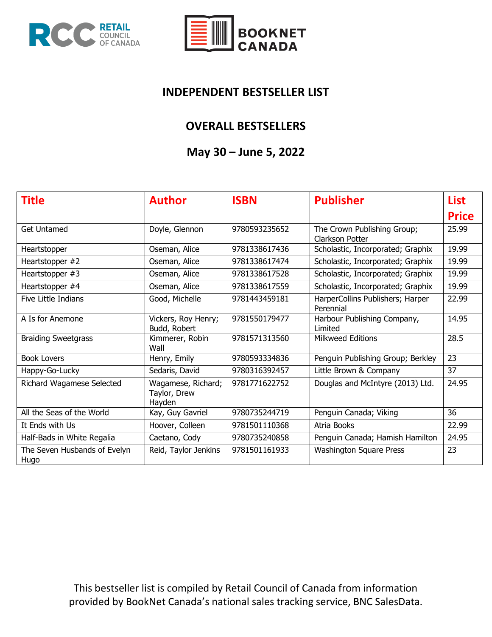



#### **INDEPENDENT BESTSELLER LIST**

#### **OVERALL BESTSELLERS**

## **May 30 – June 5, 2022**

| <b>Title</b>                         | <b>Author</b>                                | <b>ISBN</b>   | <b>Publisher</b>                               | <b>List</b>  |
|--------------------------------------|----------------------------------------------|---------------|------------------------------------------------|--------------|
|                                      |                                              |               |                                                | <b>Price</b> |
| <b>Get Untamed</b>                   | Doyle, Glennon                               | 9780593235652 | The Crown Publishing Group;<br>Clarkson Potter | 25.99        |
| Heartstopper                         | Oseman, Alice                                | 9781338617436 | Scholastic, Incorporated; Graphix              | 19.99        |
| Heartstopper #2                      | Oseman, Alice                                | 9781338617474 | Scholastic, Incorporated; Graphix              | 19.99        |
| Heartstopper #3                      | Oseman, Alice                                | 9781338617528 | Scholastic, Incorporated; Graphix              | 19.99        |
| Heartstopper #4                      | Oseman, Alice                                | 9781338617559 | Scholastic, Incorporated; Graphix              | 19.99        |
| Five Little Indians                  | Good, Michelle                               | 9781443459181 | HarperCollins Publishers; Harper<br>Perennial  | 22.99        |
| A Is for Anemone                     | Vickers, Roy Henry;<br>Budd, Robert          | 9781550179477 | Harbour Publishing Company,<br>Limited         | 14.95        |
| <b>Braiding Sweetgrass</b>           | Kimmerer, Robin<br>Wall                      | 9781571313560 | <b>Milkweed Editions</b>                       | 28.5         |
| <b>Book Lovers</b>                   | Henry, Emily                                 | 9780593334836 | Penguin Publishing Group; Berkley              | 23           |
| Happy-Go-Lucky                       | Sedaris, David                               | 9780316392457 | Little Brown & Company                         | 37           |
| Richard Wagamese Selected            | Wagamese, Richard;<br>Taylor, Drew<br>Hayden | 9781771622752 | Douglas and McIntyre (2013) Ltd.               | 24.95        |
| All the Seas of the World            | Kay, Guy Gavriel                             | 9780735244719 | Penguin Canada; Viking                         | 36           |
| It Ends with Us                      | Hoover, Colleen                              | 9781501110368 | Atria Books                                    | 22.99        |
| Half-Bads in White Regalia           | Caetano, Cody                                | 9780735240858 | Penguin Canada; Hamish Hamilton                | 24.95        |
| The Seven Husbands of Evelyn<br>Hugo | Reid, Taylor Jenkins                         | 9781501161933 | <b>Washington Square Press</b>                 | 23           |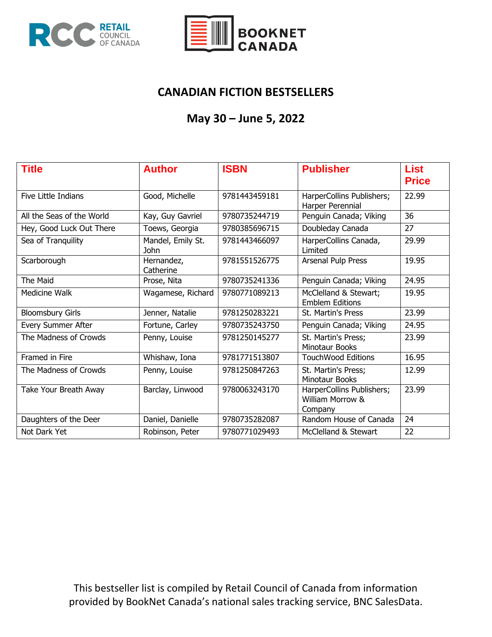



### **CANADIAN FICTION BESTSELLERS**

# **May 30 – June 5, 2022**

| <b>Title</b>              | <b>Author</b>                    | <b>ISBN</b>   | <b>Publisher</b>                                         | <b>List</b><br><b>Price</b> |
|---------------------------|----------------------------------|---------------|----------------------------------------------------------|-----------------------------|
| Five Little Indians       | Good, Michelle                   | 9781443459181 | HarperCollins Publishers;<br>Harper Perennial            | 22.99                       |
| All the Seas of the World | Kay, Guy Gavriel                 | 9780735244719 | Penguin Canada; Viking                                   | 36                          |
| Hey, Good Luck Out There  | Toews, Georgia                   | 9780385696715 | Doubleday Canada                                         | 27                          |
| Sea of Tranquility        | Mandel, Emily St.<br><b>John</b> | 9781443466097 | HarperCollins Canada,<br>Limited                         | 29.99                       |
| Scarborough               | Hernandez,<br>Catherine          | 9781551526775 | Arsenal Pulp Press                                       | 19.95                       |
| The Maid                  | Prose, Nita                      | 9780735241336 | Penguin Canada; Viking                                   | 24.95                       |
| Medicine Walk             | Wagamese, Richard                | 9780771089213 | McClelland & Stewart;<br><b>Emblem Editions</b>          | 19.95                       |
| <b>Bloomsbury Girls</b>   | Jenner, Natalie                  | 9781250283221 | <b>St. Martin's Press</b>                                | 23.99                       |
| Every Summer After        | Fortune, Carley                  | 9780735243750 | Penguin Canada; Viking                                   | 24.95                       |
| The Madness of Crowds     | Penny, Louise                    | 9781250145277 | St. Martin's Press;<br>Minotaur Books                    | 23.99                       |
| Framed in Fire            | Whishaw, Iona                    | 9781771513807 | <b>TouchWood Editions</b>                                | 16.95                       |
| The Madness of Crowds     | Penny, Louise                    | 9781250847263 | St. Martin's Press;<br><b>Minotaur Books</b>             | 12.99                       |
| Take Your Breath Away     | Barclay, Linwood                 | 9780063243170 | HarperCollins Publishers;<br>William Morrow &<br>Company | 23.99                       |
| Daughters of the Deer     | Daniel, Danielle                 | 9780735282087 | Random House of Canada                                   | 24                          |
| Not Dark Yet              | Robinson, Peter                  | 9780771029493 | McClelland & Stewart                                     | 22                          |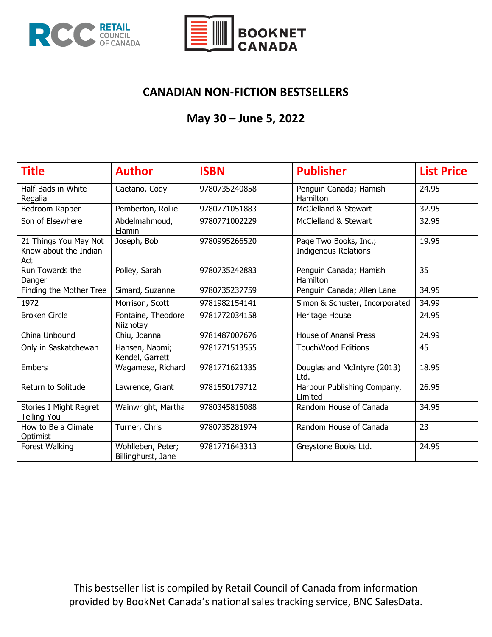



## **CANADIAN NON-FICTION BESTSELLERS**

# **May 30 – June 5, 2022**

| <b>Title</b>                                          | <b>Author</b>                           | <b>ISBN</b>   | <b>Publisher</b>                                     | <b>List Price</b> |
|-------------------------------------------------------|-----------------------------------------|---------------|------------------------------------------------------|-------------------|
| Half-Bads in White<br>Regalia                         | Caetano, Cody                           | 9780735240858 | Penguin Canada; Hamish<br>Hamilton                   | 24.95             |
| Bedroom Rapper                                        | Pemberton, Rollie                       | 9780771051883 | McClelland & Stewart                                 | 32.95             |
| Son of Elsewhere                                      | Abdelmahmoud,<br>Elamin                 | 9780771002229 | McClelland & Stewart                                 | 32.95             |
| 21 Things You May Not<br>Know about the Indian<br>Act | Joseph, Bob                             | 9780995266520 | Page Two Books, Inc.;<br><b>Indigenous Relations</b> | 19.95             |
| Run Towards the<br>Danger                             | Polley, Sarah                           | 9780735242883 | Penguin Canada; Hamish<br>Hamilton                   | 35                |
| Finding the Mother Tree                               | Simard, Suzanne                         | 9780735237759 | Penguin Canada; Allen Lane                           | 34.95             |
| 1972                                                  | Morrison, Scott                         | 9781982154141 | Simon & Schuster, Incorporated                       | 34.99             |
| <b>Broken Circle</b>                                  | Fontaine, Theodore<br>Niizhotay         | 9781772034158 | Heritage House                                       | 24.95             |
| China Unbound                                         | Chiu, Joanna                            | 9781487007676 | <b>House of Anansi Press</b>                         | 24.99             |
| Only in Saskatchewan                                  | Hansen, Naomi;<br>Kendel, Garrett       | 9781771513555 | <b>TouchWood Editions</b>                            | 45                |
| <b>Embers</b>                                         | Wagamese, Richard                       | 9781771621335 | Douglas and McIntyre (2013)<br>Ltd.                  | 18.95             |
| Return to Solitude                                    | Lawrence, Grant                         | 9781550179712 | Harbour Publishing Company,<br>Limited               | 26.95             |
| Stories I Might Regret<br><b>Telling You</b>          | Wainwright, Martha                      | 9780345815088 | Random House of Canada                               | 34.95             |
| How to Be a Climate<br>Optimist                       | Turner, Chris                           | 9780735281974 | Random House of Canada                               | 23                |
| Forest Walking                                        | Wohlleben, Peter;<br>Billinghurst, Jane | 9781771643313 | Greystone Books Ltd.                                 | 24.95             |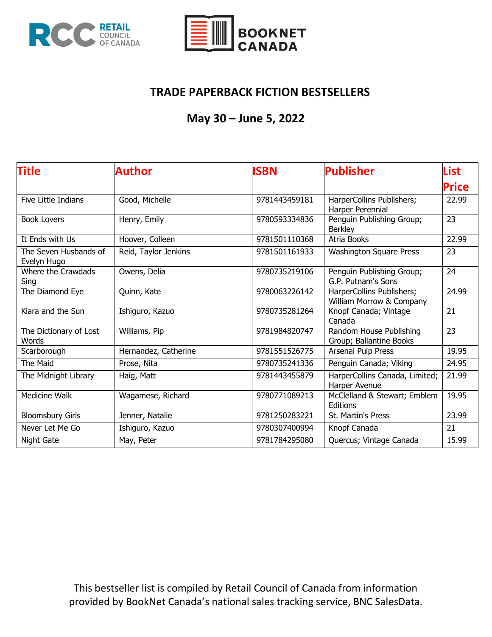



## **TRADE PAPERBACK FICTION BESTSELLERS**

# **May 30 – June 5, 2022**

| <b>Title</b>                         | Author               | <b>ISBN</b>   | <b>Publisher</b>                                      | <b>List</b> |
|--------------------------------------|----------------------|---------------|-------------------------------------------------------|-------------|
|                                      |                      |               |                                                       | Price       |
| Five Little Indians                  | Good, Michelle       | 9781443459181 | HarperCollins Publishers;<br>Harper Perennial         | 22.99       |
| <b>Book Lovers</b>                   | Henry, Emily         | 9780593334836 | Penguin Publishing Group;<br><b>Berkley</b>           | 23          |
| It Ends with Us                      | Hoover, Colleen      | 9781501110368 | Atria Books                                           | 22.99       |
| The Seven Husbands of<br>Evelyn Hugo | Reid, Taylor Jenkins | 9781501161933 | <b>Washington Square Press</b>                        | 23          |
| Where the Crawdads<br>Sing           | Owens, Delia         | 9780735219106 | Penguin Publishing Group;<br>G.P. Putnam's Sons       | 24          |
| The Diamond Eye                      | Quinn, Kate          | 9780063226142 | HarperCollins Publishers;<br>William Morrow & Company | 24.99       |
| Klara and the Sun                    | Ishiguro, Kazuo      | 9780735281264 | Knopf Canada; Vintage<br>Canada                       | 21          |
| The Dictionary of Lost<br>Words      | Williams, Pip        | 9781984820747 | Random House Publishing<br>Group; Ballantine Books    | 23          |
| Scarborough                          | Hernandez, Catherine | 9781551526775 | Arsenal Pulp Press                                    | 19.95       |
| The Maid                             | Prose, Nita          | 9780735241336 | Penguin Canada; Viking                                | 24.95       |
| The Midnight Library                 | Haig, Matt           | 9781443455879 | HarperCollins Canada, Limited;<br>Harper Avenue       | 21.99       |
| Medicine Walk                        | Wagamese, Richard    | 9780771089213 | McClelland & Stewart; Emblem<br>Editions              | 19.95       |
| <b>Bloomsbury Girls</b>              | Jenner, Natalie      | 9781250283221 | St. Martin's Press                                    | 23.99       |
| Never Let Me Go                      | Ishiguro, Kazuo      | 9780307400994 | Knopf Canada                                          | 21          |
| Night Gate                           | May, Peter           | 9781784295080 | Quercus; Vintage Canada                               | 15.99       |